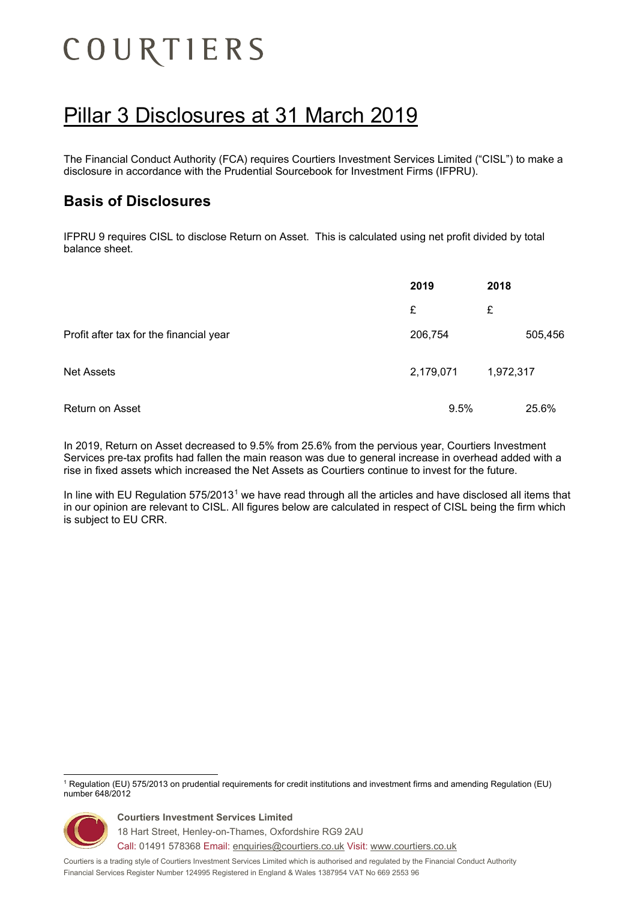# COURTIERS

# Pillar 3 Disclosures at 31 March 2019

The Financial Conduct Authority (FCA) requires Courtiers Investment Services Limited ("CISL") to make a disclosure in accordance with the Prudential Sourcebook for Investment Firms (IFPRU).

## **Basis of Disclosures**

IFPRU 9 requires CISL to disclose Return on Asset. This is calculated using net profit divided by total balance sheet.

|                                         | 2019      | 2018      |
|-----------------------------------------|-----------|-----------|
|                                         | £         | £         |
| Profit after tax for the financial year | 206,754   | 505,456   |
| <b>Net Assets</b>                       | 2,179,071 | 1,972,317 |
| Return on Asset                         | 9.5%      | 25.6%     |

In 2019, Return on Asset decreased to 9.5% from 25.6% from the pervious year, Courtiers Investment Services pre-tax profits had fallen the main reason was due to general increase in overhead added with a rise in fixed assets which increased the Net Assets as Courtiers continue to invest for the future.

In line with EU Regulation 575/20[1](#page-0-0)3<sup>1</sup> we have read through all the articles and have disclosed all items that in our opinion are relevant to CISL. All figures below are calculated in respect of CISL being the firm which is subject to EU CRR.

<span id="page-0-0"></span> <sup>1</sup> Regulation (EU) 575/2013 on prudential requirements for credit institutions and investment firms and amending Regulation (EU) number 648/2012



**Courtiers Investment Services Limited** 18 Hart Street, Henley-on-Thames, Oxfordshire RG9 2AU

Call: 01491 578368 Email: [enquiries@courtiers.co.uk](mailto:enquiries@courtiers.co.uk) Visit: [www.courtiers.co.uk](http://www.courtiers.co.uk/)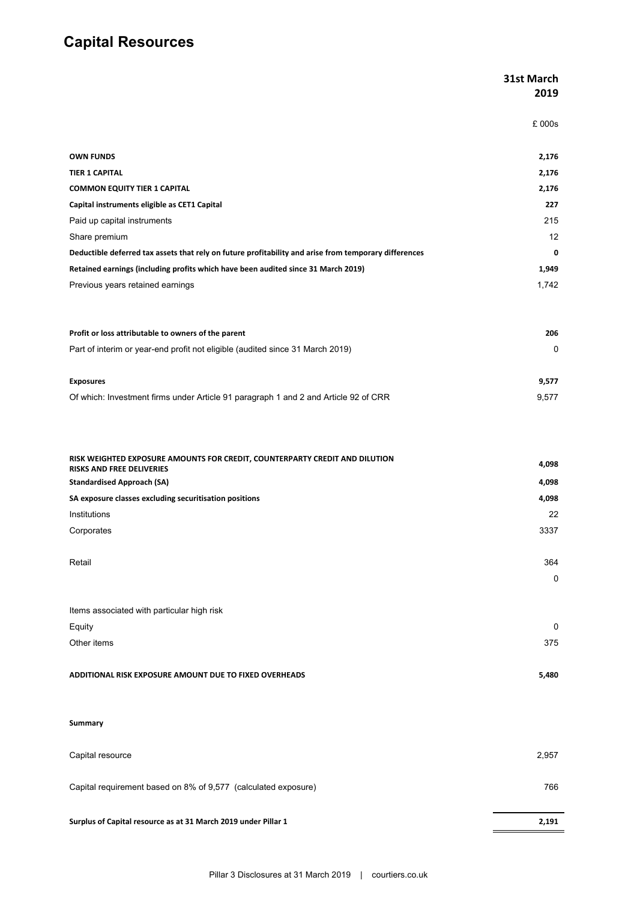# **Capital Resources**

|                                                                                                                                                      | 31st March<br>2019 |
|------------------------------------------------------------------------------------------------------------------------------------------------------|--------------------|
|                                                                                                                                                      | £ 000s             |
| <b>OWN FUNDS</b>                                                                                                                                     | 2,176              |
| <b>TIER 1 CAPITAL</b>                                                                                                                                | 2,176              |
| <b>COMMON EQUITY TIER 1 CAPITAL</b>                                                                                                                  | 2,176              |
| Capital instruments eligible as CET1 Capital                                                                                                         | 227                |
| Paid up capital instruments                                                                                                                          | 215                |
| Share premium                                                                                                                                        | 12                 |
| Deductible deferred tax assets that rely on future profitability and arise from temporary differences                                                | 0                  |
| Retained earnings (including profits which have been audited since 31 March 2019)                                                                    | 1,949              |
| Previous years retained earnings                                                                                                                     | 1,742              |
| Profit or loss attributable to owners of the parent                                                                                                  | 206                |
| Part of interim or year-end profit not eligible (audited since 31 March 2019)                                                                        | 0                  |
|                                                                                                                                                      |                    |
| <b>Exposures</b><br>Of which: Investment firms under Article 91 paragraph 1 and 2 and Article 92 of CRR                                              | 9,577<br>9,577     |
|                                                                                                                                                      |                    |
| RISK WEIGHTED EXPOSURE AMOUNTS FOR CREDIT, COUNTERPARTY CREDIT AND DILUTION<br><b>RISKS AND FREE DELIVERIES</b><br><b>Standardised Approach (SA)</b> | 4,098<br>4,098     |
| SA exposure classes excluding securitisation positions                                                                                               | 4,098              |
| Institutions                                                                                                                                         | 22                 |
| Corporates                                                                                                                                           | 3337               |
|                                                                                                                                                      |                    |
| Retail                                                                                                                                               | 364                |
|                                                                                                                                                      | 0                  |
|                                                                                                                                                      |                    |
| Items associated with particular high risk                                                                                                           |                    |
| Equity                                                                                                                                               | 0                  |
| Other items                                                                                                                                          | 375                |
| ADDITIONAL RISK EXPOSURE AMOUNT DUE TO FIXED OVERHEADS                                                                                               | 5,480              |
|                                                                                                                                                      |                    |
| <b>Summary</b>                                                                                                                                       |                    |
| Capital resource                                                                                                                                     | 2,957              |
| Capital requirement based on 8% of 9,577 (calculated exposure)                                                                                       | 766                |
| Surplus of Capital resource as at 31 March 2019 under Pillar 1                                                                                       | 2,191              |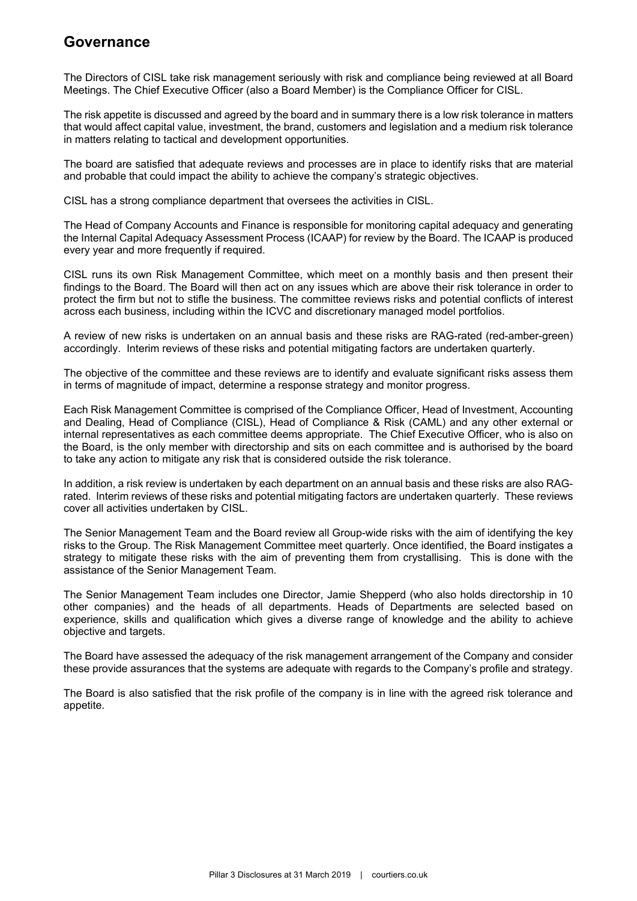#### **Governance**

The Directors of CISL take risk management seriously with risk and compliance being reviewed at all Board Meetings. The Chief Executive Officer (also a Board Member) is the Compliance Officer for CISL.

The risk appetite is discussed and agreed by the board and in summary there is a low risk tolerance in matters that would affect capital value, investment, the brand, customers and legislation and a medium risk tolerance in matters relating to tactical and development opportunities.

The board are satisfied that adequate reviews and processes are in place to identify risks that are material and probable that could impact the ability to achieve the company's strategic objectives.

CISL has a strong compliance department that oversees the activities in CISL.

The Head of Company Accounts and Finance is responsible for monitoring capital adequacy and generating the Internal Capital Adequacy Assessment Process (ICAAP) for review by the Board. The ICAAP is produced every year and more frequently if required.

CISL runs its own Risk Management Committee, which meet on a monthly basis and then present their findings to the Board. The Board will then act on any issues which are above their risk tolerance in order to protect the firm but not to stifle the business. The committee reviews risks and potential conflicts of interest across each business, including within the ICVC and discretionary managed model portfolios.

A review of new risks is undertaken on an annual basis and these risks are RAG-rated (red-amber-green) accordingly. Interim reviews of these risks and potential mitigating factors are undertaken quarterly.

The objective of the committee and these reviews are to identify and evaluate significant risks assess them in terms of magnitude of impact, determine a response strategy and monitor progress.

Each Risk Management Committee is comprised of the Compliance Officer, Head of Investment, Accounting and Dealing, Head of Compliance (CISL), Head of Compliance & Risk (CAML) and any other external or internal representatives as each committee deems appropriate. The Chief Executive Officer, who is also on the Board, is the only member with directorship and sits on each committee and is authorised by the board to take any action to mitigate any risk that is considered outside the risk tolerance.

In addition, a risk review is undertaken by each department on an annual basis and these risks are also RAGrated. Interim reviews of these risks and potential mitigating factors are undertaken quarterly. These reviews cover all activities undertaken by CISL.

The Senior Management Team and the Board review all Group-wide risks with the aim of identifying the key risks to the Group. The Risk Management Committee meet quarterly. Once identified, the Board instigates a strategy to mitigate these risks with the aim of preventing them from crystallising. This is done with the assistance of the Senior Management Team.

The Senior Management Team includes one Director, Jamie Shepperd (who also holds directorship in 10 other companies) and the heads of all departments. Heads of Departments are selected based on experience, skills and qualification which gives a diverse range of knowledge and the ability to achieve objective and targets.

The Board have assessed the adequacy of the risk management arrangement of the Company and consider these provide assurances that the systems are adequate with regards to the Company's profile and strategy.

The Board is also satisfied that the risk profile of the company is in line with the agreed risk tolerance and appetite.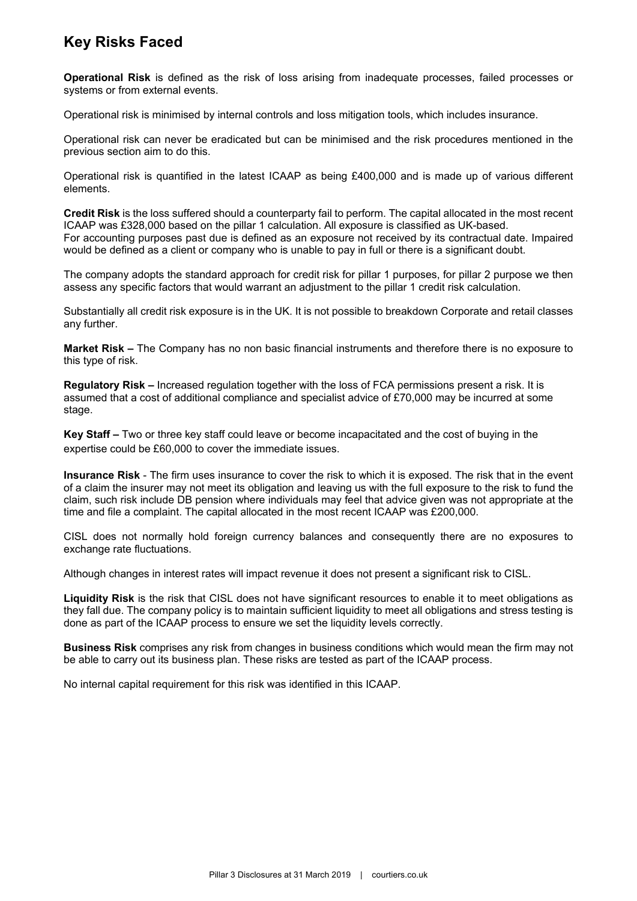## **Key Risks Faced**

**Operational Risk** is defined as the risk of loss arising from inadequate processes, failed processes or systems or from external events.

Operational risk is minimised by internal controls and loss mitigation tools, which includes insurance.

Operational risk can never be eradicated but can be minimised and the risk procedures mentioned in the previous section aim to do this.

Operational risk is quantified in the latest ICAAP as being £400,000 and is made up of various different elements.

**Credit Risk** is the loss suffered should a counterparty fail to perform. The capital allocated in the most recent ICAAP was £328,000 based on the pillar 1 calculation. All exposure is classified as UK-based. For accounting purposes past due is defined as an exposure not received by its contractual date. Impaired would be defined as a client or company who is unable to pay in full or there is a significant doubt.

The company adopts the standard approach for credit risk for pillar 1 purposes, for pillar 2 purpose we then assess any specific factors that would warrant an adjustment to the pillar 1 credit risk calculation.

Substantially all credit risk exposure is in the UK. It is not possible to breakdown Corporate and retail classes any further.

**Market Risk –** The Company has no non basic financial instruments and therefore there is no exposure to this type of risk.

**Regulatory Risk –** Increased regulation together with the loss of FCA permissions present a risk. It is assumed that a cost of additional compliance and specialist advice of £70,000 may be incurred at some stage.

**Key Staff –** Two or three key staff could leave or become incapacitated and the cost of buying in the expertise could be £60,000 to cover the immediate issues.

**Insurance Risk** - The firm uses insurance to cover the risk to which it is exposed. The risk that in the event of a claim the insurer may not meet its obligation and leaving us with the full exposure to the risk to fund the claim, such risk include DB pension where individuals may feel that advice given was not appropriate at the time and file a complaint. The capital allocated in the most recent ICAAP was £200,000.

CISL does not normally hold foreign currency balances and consequently there are no exposures to exchange rate fluctuations.

Although changes in interest rates will impact revenue it does not present a significant risk to CISL.

**Liquidity Risk** is the risk that CISL does not have significant resources to enable it to meet obligations as they fall due. The company policy is to maintain sufficient liquidity to meet all obligations and stress testing is done as part of the ICAAP process to ensure we set the liquidity levels correctly.

**Business Risk** comprises any risk from changes in business conditions which would mean the firm may not be able to carry out its business plan. These risks are tested as part of the ICAAP process.

No internal capital requirement for this risk was identified in this ICAAP.